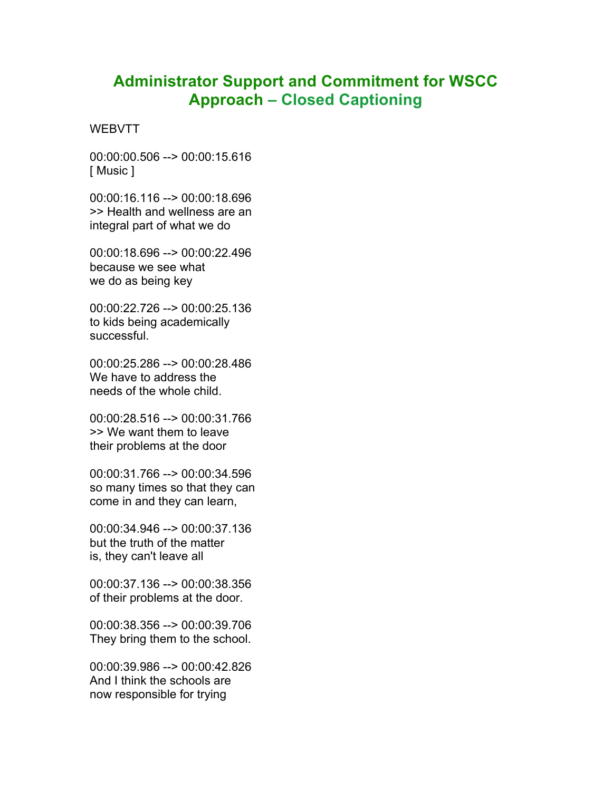## **Administrator Support and Commitment for WSCC Approach – Closed Captioning**

**WEBVTT** 

00:00:00.506 --> 00:00:15.616 [ Music ]

00:00:16.116 --> 00:00:18.696 >> Health and wellness are an integral part of what we do

00:00:18.696 --> 00:00:22.496 because we see what we do as being key

00:00:22.726 --> 00:00:25.136 to kids being academically successful.

00:00:25.286 --> 00:00:28.486 We have to address the needs of the whole child.

00:00:28.516 --> 00:00:31.766 >> We want them to leave their problems at the door

00:00:31.766 --> 00:00:34.596 so many times so that they can come in and they can learn,

00:00:34.946 --> 00:00:37.136 but the truth of the matter is, they can't leave all

00:00:37.136 --> 00:00:38.356 of their problems at the door.

00:00:38.356 --> 00:00:39.706 They bring them to the school.

00:00:39.986 --> 00:00:42.826 And I think the schools are now responsible for trying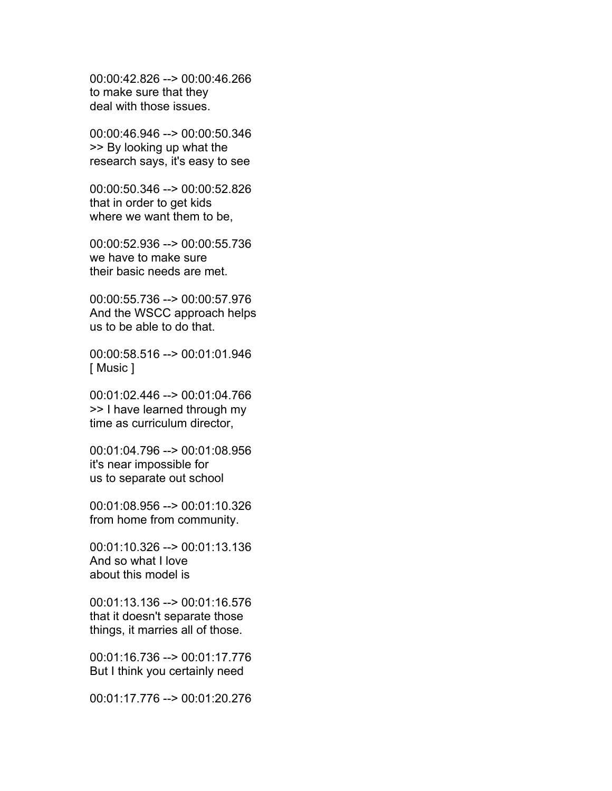00:00:42.826 --> 00:00:46.266 to make sure that they deal with those issues.

00:00:46.946 --> 00:00:50.346 >> By looking up what the research says, it's easy to see

00:00:50.346 --> 00:00:52.826 that in order to get kids where we want them to be,

00:00:52.936 --> 00:00:55.736 we have to make sure their basic needs are met.

00:00:55.736 --> 00:00:57.976 And the WSCC approach helps us to be able to do that.

00:00:58.516 --> 00:01:01.946 [ Music ]

00:01:02.446 --> 00:01:04.766 >> I have learned through my time as curriculum director,

00:01:04.796 --> 00:01:08.956 it's near impossible for us to separate out school

00:01:08.956 --> 00:01:10.326 from home from community.

00:01:10.326 --> 00:01:13.136 And so what I love about this model is

00:01:13.136 --> 00:01:16.576 that it doesn't separate those things, it marries all of those.

00:01:16.736 --> 00:01:17.776 But I think you certainly need

00:01:17.776 --> 00:01:20.276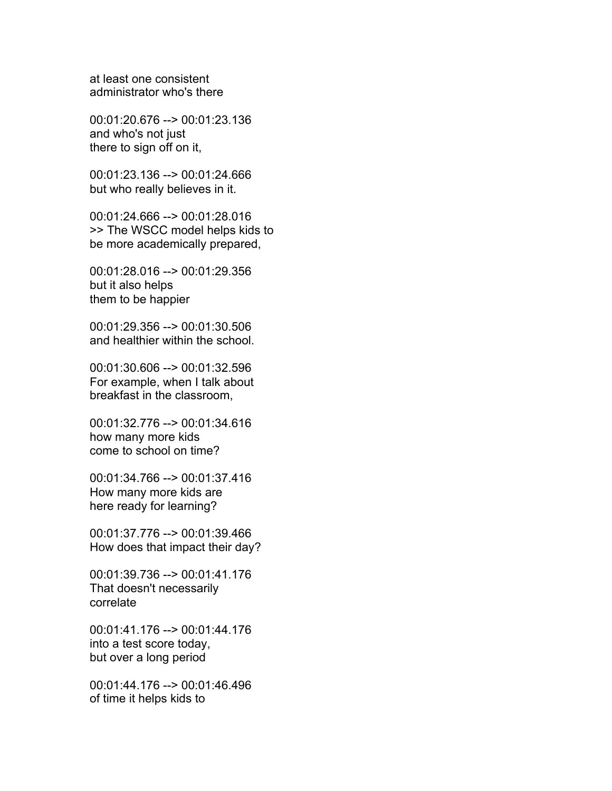at least one consistent administrator who's there

00:01:20.676 --> 00:01:23.136 and who's not just there to sign off on it,

00:01:23.136 --> 00:01:24.666 but who really believes in it.

00:01:24.666 --> 00:01:28.016 >> The WSCC model helps kids to be more academically prepared,

00:01:28.016 --> 00:01:29.356 but it also helps them to be happier

00:01:29.356 --> 00:01:30.506 and healthier within the school.

00:01:30.606 --> 00:01:32.596 For example, when I talk about breakfast in the classroom,

00:01:32.776 --> 00:01:34.616 how many more kids come to school on time?

00:01:34.766 --> 00:01:37.416 How many more kids are here ready for learning?

00:01:37.776 --> 00:01:39.466 How does that impact their day?

00:01:39.736 --> 00:01:41.176 That doesn't necessarily correlate

00:01:41.176 --> 00:01:44.176 into a test score today, but over a long period

00:01:44.176 --> 00:01:46.496 of time it helps kids to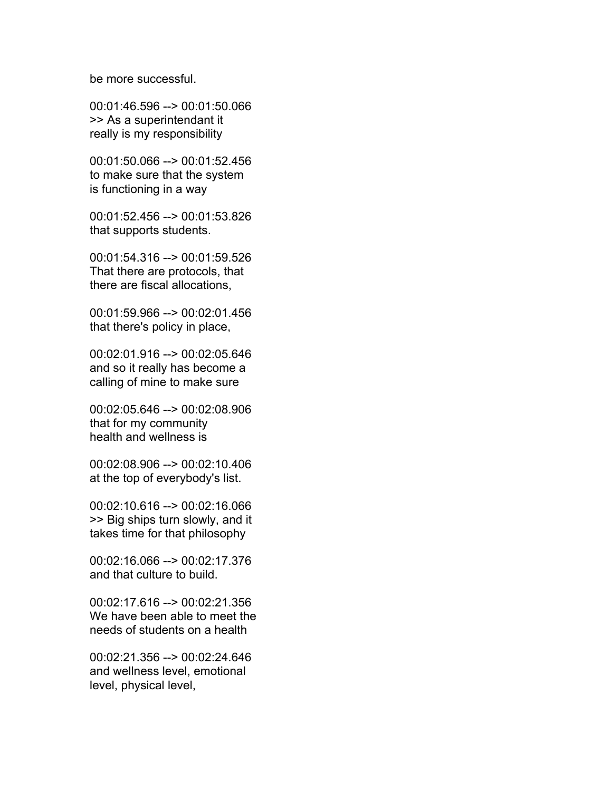be more successful.

00:01:46.596 --> 00:01:50.066 >> As a superintendant it really is my responsibility

00:01:50.066 --> 00:01:52.456 to make sure that the system is functioning in a way

00:01:52.456 --> 00:01:53.826 that supports students.

00:01:54.316 --> 00:01:59.526 That there are protocols, that there are fiscal allocations,

00:01:59.966 --> 00:02:01.456 that there's policy in place,

00:02:01.916 --> 00:02:05.646 and so it really has become a calling of mine to make sure

00:02:05.646 --> 00:02:08.906 that for my community health and wellness is

00:02:08.906 --> 00:02:10.406 at the top of everybody's list.

00:02:10.616 --> 00:02:16.066 >> Big ships turn slowly, and it takes time for that philosophy

00:02:16.066 --> 00:02:17.376 and that culture to build.

00:02:17.616 --> 00:02:21.356 We have been able to meet the needs of students on a health

00:02:21.356 --> 00:02:24.646 and wellness level, emotional level, physical level,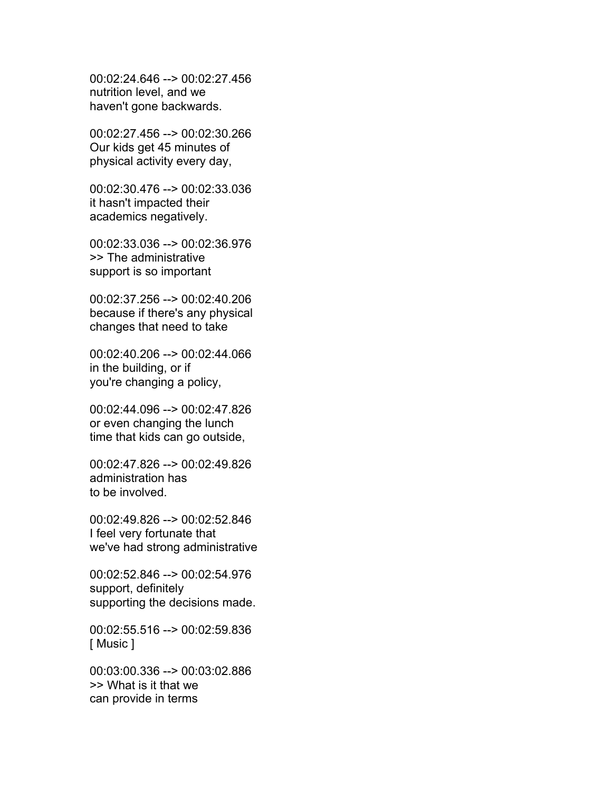00:02:24.646 --> 00:02:27.456 nutrition level, and we haven't gone backwards.

00:02:27.456 --> 00:02:30.266 Our kids get 45 minutes of physical activity every day,

00:02:30.476 --> 00:02:33.036 it hasn't impacted their academics negatively.

00:02:33.036 --> 00:02:36.976 >> The administrative support is so important

00:02:37.256 --> 00:02:40.206 because if there's any physical changes that need to take

00:02:40.206 --> 00:02:44.066 in the building, or if you're changing a policy,

00:02:44.096 --> 00:02:47.826 or even changing the lunch time that kids can go outside,

00:02:47.826 --> 00:02:49.826 administration has to be involved.

00:02:49.826 --> 00:02:52.846 I feel very fortunate that we've had strong administrative

00:02:52.846 --> 00:02:54.976 support, definitely supporting the decisions made.

00:02:55.516 --> 00:02:59.836 [ Music ]

00:03:00.336 --> 00:03:02.886 >> What is it that we can provide in terms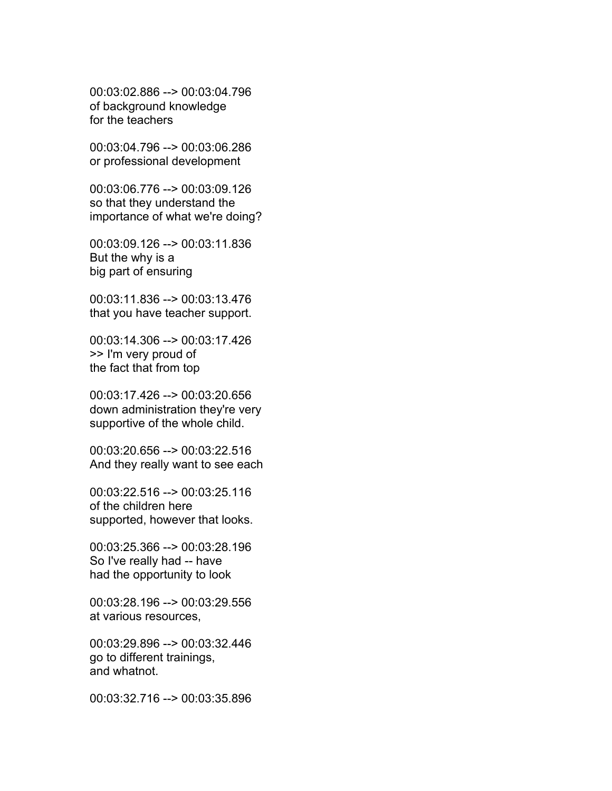00:03:02.886 --> 00:03:04.796 of background knowledge for the teachers

00:03:04.796 --> 00:03:06.286 or professional development

00:03:06.776 --> 00:03:09.126 so that they understand the importance of what we're doing?

00:03:09.126 --> 00:03:11.836 But the why is a big part of ensuring

00:03:11.836 --> 00:03:13.476 that you have teacher support.

00:03:14.306 --> 00:03:17.426 >> I'm very proud of the fact that from top

00:03:17.426 --> 00:03:20.656 down administration they're very supportive of the whole child.

00:03:20.656 --> 00:03:22.516 And they really want to see each

00:03:22.516 --> 00:03:25.116 of the children here supported, however that looks.

00:03:25.366 --> 00:03:28.196 So I've really had -- have had the opportunity to look

00:03:28.196 --> 00:03:29.556 at various resources,

00:03:29.896 --> 00:03:32.446 go to different trainings, and whatnot.

00:03:32.716 --> 00:03:35.896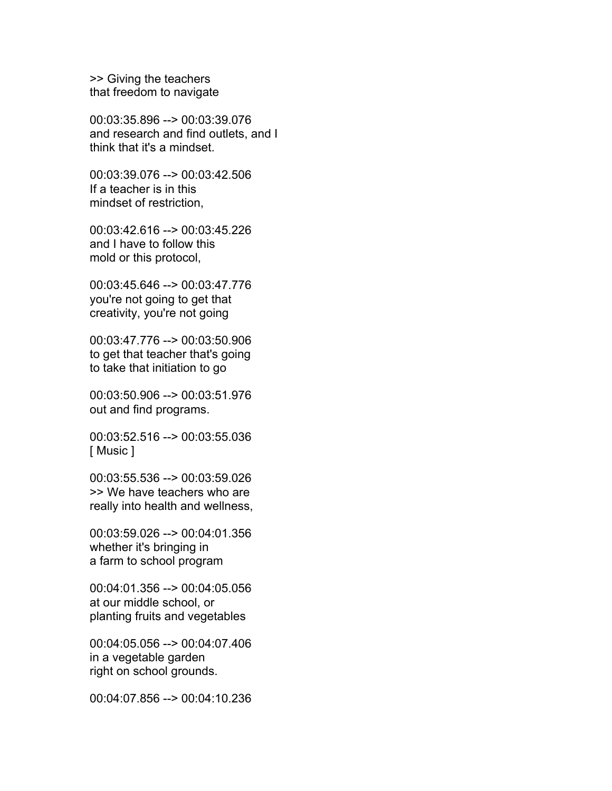>> Giving the teachers that freedom to navigate

00:03:35.896 --> 00:03:39.076 and research and find outlets, and I think that it's a mindset.

00:03:39.076 --> 00:03:42.506 If a teacher is in this mindset of restriction,

00:03:42.616 --> 00:03:45.226 and I have to follow this mold or this protocol,

00:03:45.646 --> 00:03:47.776 you're not going to get that creativity, you're not going

00:03:47.776 --> 00:03:50.906 to get that teacher that's going to take that initiation to go

00:03:50.906 --> 00:03:51.976 out and find programs.

00:03:52.516 --> 00:03:55.036 [ Music ]

00:03:55.536 --> 00:03:59.026 >> We have teachers who are really into health and wellness,

00:03:59.026 --> 00:04:01.356 whether it's bringing in a farm to school program

00:04:01.356 --> 00:04:05.056 at our middle school, or planting fruits and vegetables

00:04:05.056 --> 00:04:07.406 in a vegetable garden right on school grounds.

00:04:07.856 --> 00:04:10.236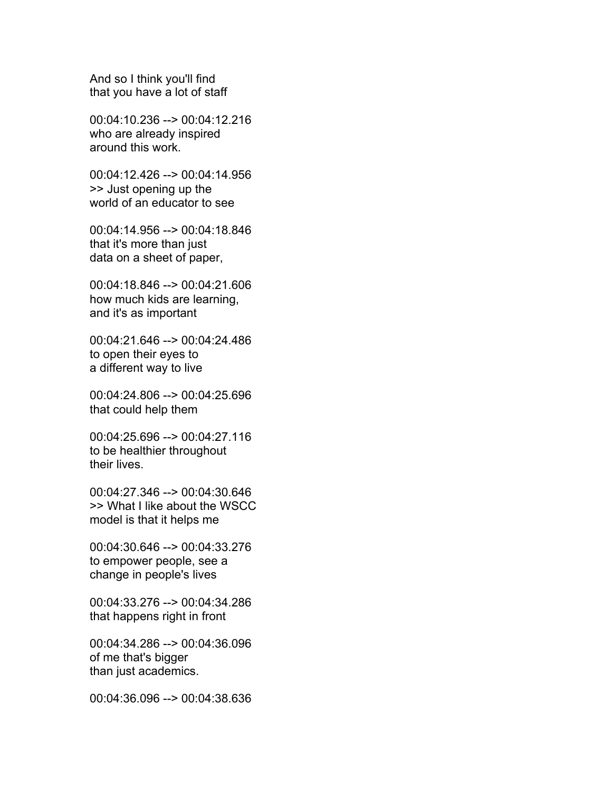And so I think you'll find that you have a lot of staff

00:04:10.236 --> 00:04:12.216 who are already inspired around this work.

00:04:12.426 --> 00:04:14.956 >> Just opening up the world of an educator to see

00:04:14.956 --> 00:04:18.846 that it's more than just data on a sheet of paper,

00:04:18.846 --> 00:04:21.606 how much kids are learning, and it's as important

00:04:21.646 --> 00:04:24.486 to open their eyes to a different way to live

00:04:24.806 --> 00:04:25.696 that could help them

00:04:25.696 --> 00:04:27.116 to be healthier throughout their lives.

00:04:27.346 --> 00:04:30.646 >> What I like about the WSCC model is that it helps me

00:04:30.646 --> 00:04:33.276 to empower people, see a change in people's lives

00:04:33.276 --> 00:04:34.286 that happens right in front

00:04:34.286 --> 00:04:36.096 of me that's bigger than just academics.

00:04:36.096 --> 00:04:38.636